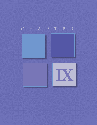## CHAPTER

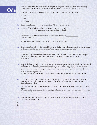

**Day** 1. Read the chapter at least twice before starting the study guide. This is not busy work, becoming familiar with the chapter will help you see things the Holy Spirit wants to reveal to you.<br>2. Look up the words belo familiar with the chapter will help you see things the Holy Spirit wants to reveal to you.

**2.** Look up the words below, using a Strong's Concordance or a good Bible dictionary.

- a. Gave
- b. Power
- c. Authority
- **3.** Using the definitions you wrote, rewrite Luke 9:1, in your own words.<br>4. Because of the right bestowed on the twelve, by Christ, they had
- Because of the right bestowed on the twelve, by Christ, they had and and over demons. What could be done to them?

Because of the right bestowed on the twelve by Christ they could people of diseases.

- **5.** What was the two-fold assignment given to the disciples that day?
- **6.** This is true of our call as believers and followers of Christ. Jesus calls us to himself, equips us for the assignment each day and he sends us out. What is your divine assignment today?

 Please don't say, "I don't know" and leave it at that. Ask the Lord, he will equip you and lead you. Pay close attention as you do dig into this chapter. God's word is often where we get our assignments.

**7.** Jesus is the best example when it comes to leadership. Jesus called his disciples to him and equipped and empowered them. He gave them instructions as to what he wanted them to do and how they were to carry out their assignment. He told them how to deal with difficult situations and people. Then he sent them out, thus multiplying his reach with the good news. The scripture says they were to proclaim the kingdom of God. What do you believe was meant by proclaim the kingdom of God? Read Luke 9:2 and 6 again.

- **8.** After reading Luke 9:3-5, why do you believe the apostles were to not worry about provisions? How much time might be wasted gathering for the "what if's" that could be better spent allowing God to be our provider?
- **9.** Not only would taking no supplies lighten their load, it gives others a chance to be a part of God's work. What ministries are you partnering with and providing for in some way with your time, your treasure or your talents?
- **10.** Look up and define the words disciple and apostle. Jesus had many disciples, what is the main distinction between the two?
- a.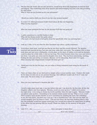**11.** The fact that the twelve did not take provisons, would keep them fully dependant on God for food and lodging. This would keep their focus upward and acknowledging that God is the One providing for their needs.

Who or what are you focused on for your provisions?

Would you need to shift your focus if you lost your present income?

**12.** In verses 7-9, which government leader heard about all that was happening. What was his response?

What are some synonyms for how he felt hearing of all that was going on?

- **13.** A guilty conscience is a terrible burden to bear. What did this Roman leader feel guilty about? (The truth is he had much to feel guilty about but specifically what was worrying him.)
- **14.** Look up 1 John 1:9 to see what the New Testament says about a guilty conscience.
- **15.** Everywhere Jesus went, word got out that he was there and the crowds followed. The apostles returned and reported all they had seen and done while they were gone. The scripture tells us Jesus took them and and went to Bethsaida, a lovely place on the shore of Galilee, so he and the disciples could be alone for a little while. It did not last long. The crowd learned where they were and went to see Jesus. I am quite sure Jesus and his disciples were tired. They had been ministering, teaching, healing the sick and casting out demons. Ministry can be exhausting. Read Luke 9:11 again. What amazing and compassionate example did Jesus give us?
- **16.** Think back over the last few days, can you relate to being exhausted from caring for the needs of others?
- **17.** There are times when we are tired and we simply refuse to meet another need. I believe this could be the times we miss out on our greatest blessings. How different would Luke 9:12-17 read, had Jesus said, "No more today, we are exhausted?"
- **18.** Have you ever experienced a situation like this?

 I recall a night many years ago, it was just before nine and I sat down for the first time all day. My daughter called to me from upstairs, *"Momma, would you come up here."* I didn't even answer her right away. I was trying to choose my words carefully, when she said it again. "Momma would you please come up here." Everything in me wanted remain seated and say, *"What is it you need?"*  Then I could at least decide whether or not it warranted me climbing the stairs. But something in me, the Holy Spirit, said don't say it just go. I am so thankful that I did. That was the night my second daughter gave her heart to Jesus. I did not even know she had been thinking about it that day. She probably would have gotten saved later, but I would have missed the opportunity of talking to her about this and praying with her myself. Thank you Father for the memory of this great blessing.

19. Luke 9:11 …He them and spoke to them about

, and those who needed .

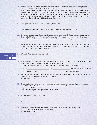- **20.** The scripture tells us it was late in the afternoon and the disciples came to Jesus, asking him to dismiss the crowd. This makes me smile to read this. The disciples must have thought Jesus had lost track of the time. I'm not sure which of the twelve was the spokesman, but one of them mentioned to Jesus, *"Send the crowd away so they can go to the surrounding villages and countryside and find food and lodging, because we are in a remote place her*e." Jesus did not disagree. It was late, it was a desolate place, the crowd was in need of food. Instead of dismissing the crowd, what did Jesus instruct them to do?
- **21.** How great was this need? Doable or seemingly impossible?
- **22.** Has Jesus ever asked you to reach out in a way that seemed humanly impossible?
- **23.** I love the response of the disciples to Jesus's direction when he said, *"You give them something to eat."* They replied "We have only five loaves of bread and two fish-unless we go and buy food for all this *crowd."* What had the disciples attention, their small provisions or their great provider?

Have you ever been faced with a monumental task that would bring God glory? Did you think, I wish I had the money, I'd give it and do something great for the kingdom of God? Let's think, what need has God brought to your attention today?

## Three

- **24.** What did Jesus do with what they had?
- **25.** This is a wonderful example for all of us. When there is a need. We must talk to our heavenly Father and ask him to bless our provisions, then give what we have. Choose one of these three words to go in each blank: faithful, multiply, responsibility

It is our to be the set of the set of the set of the set of the set of the set of the set of the set of the set of the set of the set of the set of the set of the set of the set of the set of the set of the set of the set

it is God's responsibility to\_\_\_\_\_\_\_\_\_\_\_\_\_\_\_\_\_\_\_\_\_\_\_\_\_\_\_\_\_\_\_\_\_ and meet the need.

- **26.** How many men, not counting the women and children, were present on that day, to experience first hand the gracious goodness of God in this miracle? What was the result?
- **27.** The disciples had a front row seat to watch Jesus even in his most intimate and private moments. Luke 9:18 tells us that Jesus was praying in private and his disciples were with him. Jesus stops praying and asked them a question. Read Luke 9:18 again, what question did he ask them?
- **28.** What was their three-fold answer?
	- a. b. c.
- **29.** Jesus then asked them a second question, "But what about you, who do you say I am?" Who answered as the spokesman for the group? What was his answer?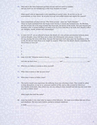**30.** This truly is the most important question anyone will ever need to consider. Did you know we are considering it with every decision we make?

When posed with an opportunity to do something of eternal value, do we do it or do we procrastinate; or even worse do we give in to our own selfish desires and neglect his request?

- **31.** Some translations of Luke 9:20 say "The Christ of God," some say "God's Messiah." These are both translated from the Greek word *Christos,* it means the Anointed One, the Messiah, the Son of God. He is the long-awaited One from God, the Savior of the world. This goes beyond just knowing a fact. It means holding it as truth to live by. If we hold this to be truth, how should it affect our thoughts, words, actions and relationships?
- **32.** In Luke 9:21-27, we are allowed to know the details of a very private conversation between Jesus and his disciples. Jesus told them not to share this information with anyone. (verse 21) He was sharing this news with them, because this had been God's plan since the foundation of the world. He did not want them to be caught by surprise. What were the details shared concerning the Son of Man in verse 22?

|     | a.                                             |     |      |      |
|-----|------------------------------------------------|-----|------|------|
|     | b.                                             |     |      |      |
|     | c.                                             |     |      |      |
|     | α.                                             |     |      |      |
|     | 33. Luke 9:23 NIV "Whoever wants to be my      |     | must |      |
|     | and take up their cross                        | and |      | me." |
| 34. | What do you believe it means to deny yourself? |     |      |      |

- **35.** What does it mean to take up your cross?
- **36.** What does it mean to follow Jesus?
- **37.** The twelve would soon experience the suffering Jesus was referring to here. They would be called to deny themselves, to say no to personal comforts of life, and to take a stand for Christ in a very hostile enviroment. How about you, are you wiling to deny yourself and take up your cross daily in order to follow Jesus?

What might that look like today?

38. Jesus has made it very clear what he expects of his followers. He wants us to follow him out of love and obedience. We have said it before, partial or delayed obedience

is really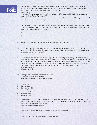

**39.** Luke 9:25 asks another very important question, *"What good is it for someone to gain the whole world, and yet lose or forfeit their very…his very self."* This same question is found in Mark, the wording is a bit different but it is the same conversation. Mark 8:36-37

## "For what does it profit a man to gain the whole world and forfeit his soul? For what can a *man give in exchange for his soul?"*

Please, take a few minutes to seriously think about what you have just read, These questions are of eternal consequense. How would you answer?

**40.** Luke 9:28 tells us, eight days later, Jesus took Peter, John and James with him up the mountain to pray. They got to experience something lifechanging that day. According to verses 29-30, while Jesus was praying something amazing happened?

a.

b.

c.

- **41.** Moses and Elijah were talking with Jesus. What were they discussing?
- **42.** Peter, James and John had been very sleepy. Don't you love learning these men were just like us. They got tired and, even though it was a time of prayer, they were overcome with sleep. Have you ever fallen asleep while praying?
- **43.** When they awoke they saw an amazing sight, Jesus in radiant glory standing before them and he was with Moses and Elijah. Peter wanted to put up a more permanent stucture for Moses, Elijah and Jesus. He wanted this to last. The scripture says Peter did not know what he was saying. This makes me smile. Even though he did not have a full understanding, he knew he did not want it to end. But end it did, Moses and Elijah were gone. At that moment, a voice came from the cloud. Who was speaking? What did he say?
- **44.** God's presence is often manifested in the cloud. What were these specific events? 100 bonus points for answering this question.
- a. Genesis 9:16
- b. Exodus 13:21
- c. Exodus 24:15-16
- d. Exodus 40:34
- e. Leviticus 16:2
- f. Numbers 9:17
- g. Matthew 17:5
- **45.** Last week we looked at what it means to listen well. We said we are to listen to understand. We are to listen to obey. And we are to listen to bear fruit. God spoke from heaven and said, *"This is my Son, whom I have chosen; listen to him."* How are you at listening to Jesus?

Does he have to repeat himself over and over to get your attention?

Or are you in tune with the voice of the Good Shepherd?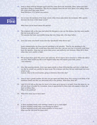- **46.** Jesus is alone with his disciples again and they came down the mountain. Peter, James and John kept these things to themselves. Why do you suppose Jesus did not want them to be talking about this event when they came down? Read Matthew 17:9, before you answer.
- **47.** Do not miss the mention of the large crowd, when Jesus came down the mountain. Who quickly becomes the focus of this large crowd?

What facts can be found about this person?

Five

- **48.** The scripture tells us the man had asked the disciples to cast out this demon, but they were unable. Did this seem odd to you? The apostles had been successfully doing that very thing only a few days before.
- **49.** Jesus has some very harsh words that day. Specifically what did he say?

Some commentaries say Jesus was not speaking to the apostles. That he was speaking to the Phariesss and others who would have been there that day. I am not sure but it certainly could have been the apostles. Jesus had just given them power and authority over demons. What did it show when they were unable to help?

- **50.** We too have been given this power and authority. All we need to do is exercise it, within the will of our God. What would you like to see happen today that will require great faith, power and authority?
- **51.** After this amazing miracle, Jesus once again speaks to those following him and tries to help them see that he would very quickly be taken away. The scripture said they did not understand and were afraid to ask.

Instead, what is the conversation, going on between them that day?

- **52.** Jesus is such a gentle teacher. He does not get upset and chide them. He is trying to tell them of his imminent death and they are discussing who is the greatest. What does Jesus do?
- 53. Luke 9:51-62 tells us the time for Jesus to be taken up to heaven is at hand. From this point on, we will see Jesus is headed for Jerusalem. Jesus is approached by three men who appear to have the heart to follow Him. What is the problem?
- 54. What does Jesus say to these men?
	- •
	- •

55. Is there anything wrong with wanting a home to go to each night? Is there anything wrong with a son burying his father? Is there anything wrong with saying goodbye to loved ones? What was the real issue for these men?